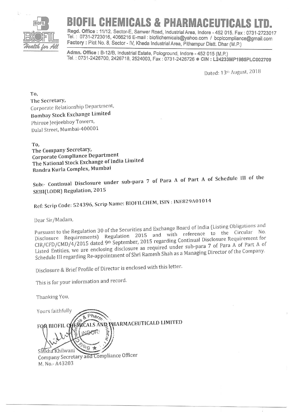

## **BIOFIL CHEMICALS & PHARMACEUTICALS**

Regd. Office: 11/12, Sector-E, Sanwer Road, Industrial Area, Indore - 452 015. Fax: 0731-2723017 Tel.: 0731-2723016, 4066216 E-mail: biofilchemicals@yahoo.com / bcplcompliance@gmail.com Factory: Plot No. 8, Sector - IV, Kheda Industrial Area, Pithampur Distt. Dhar (M.P.)

Admn. Office: B-12/B, Industrial Estate, Pologround, Indore - 452 015 (M.P.) Tel.: 0731-2426700, 2426718, 2524003, Fax: 0731-2426726 ● CIN: L24233MP1985PLC002709

Dated: 13th August, 2018

To. The Secretary, Corporate Relationship Department, **Bombay Stock Exchange Limited** Phiroze Jeejeebhoy Towers, Dalal Street, Mumbai-400001

To.

The Company Secretary, Corporate Compliance Department The National Stock Exchange of India Limited Bandra Kurla Complex, Mumbai

Sub:- Continual Disclosure under sub-para 7 of Para A of Part A of Schedule III of the SEBI(LODR) Regulation, 2015

Ref: Scrip Code: 524396, Scrip Name: BIOFILCHEM, ISIN: INE829A01014

Dear Sir/Madam,

Pursuant to the Regulation 30 of the Securities and Exchange Board of India (Listing Obligations and Disclosure Requirements) Regulation 2015 and with reference to the Circular No. CIR/CFD/CMD/4/2015 dated 9th September, 2015 regarding Continual Disclosure Requirement for Listed Entities, we are enclosing disclosure as required under sub-para 7 of Para A of Part A of Schedule III regarding Re-appointment of Shri Ramesh Shah as a Managing Director of the Company.

Disclosure & Brief Profile of Director is enclosed with this letter.

This is for your information and record.

Thanking You,

Yours faithfully FEMCALS AND PHARMACEUTICALD LIMITED FOR BIOFIL Q LAOR  $\frac{1}{\sqrt{2}}$ Shikha Khilwan Company Secretary and Compliance Officer M. No.- A43203